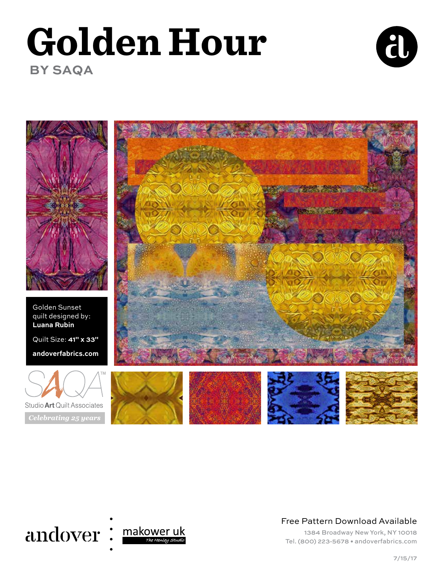# **Golden Hour BY SAQA**





Golden Sunset quilt designed by: **Luana Rubin** Quilt Size: **41" x 33"**

**andoverfabrics.com** 







Free Pattern Download Available

1384 Broadway New York, NY 10018 Tel. (800) 223-5678 • andoverfabrics.com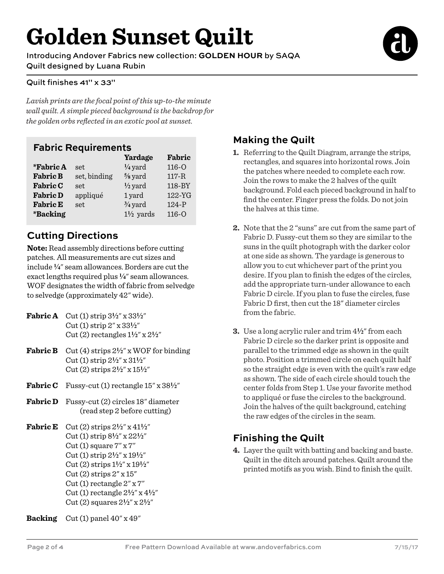# **Golden Sunset Quilt**

Introducing Andover Fabrics new collection: **GOLDEN HOUR** by SAQA Quilt designed by Luana Rubin

#### Quilt finishes 41" x 33"

*Lavish prints are the focal point of this up-to-the minute wall quilt. A simple pieced background is the backdrop for the golden orbs reflected in an exotic pool at sunset.*

#### **Fabric Requirements**

|                        |              | Yardage              | Fabric    |
|------------------------|--------------|----------------------|-----------|
| *Fabric A              | set.         | $\frac{1}{4}$ yard   | $116 - 0$ |
| <b>Fabric B</b>        | set, binding | $\frac{5}{8}$ yard   | $117 - R$ |
| <b>Fabric C</b>        | set          | $\frac{1}{2}$ yard   | 118-BY    |
| <b>Fabric D</b>        | appliqué     | 1 yard               | 122-YG    |
| <b>Fabric E</b>        | set          | $\frac{3}{4}$ yard   | $124-P$   |
| <i><b>*Backing</b></i> |              | $1\frac{1}{2}$ yards | $116-o$   |

### **Cutting Directions**

**Note:** Read assembly directions before cutting patches. All measurements are cut sizes and include **4**" seam allowances. Borders are cut the exact lengths required plus  $\frac{1}{4}$ " seam allowances. WOF designates the width of fabric from selvedge to selvedge (approximately 42" wide).

- **Fabric A** Cut (1) strip  $3\frac{1}{2}$ " x  $33\frac{1}{2}$ " Cut (1) strip 2" x 33**2**" Cut (2) rectangles 1**2**" x 2**2**"
- **Fabric B** Cut (4) strips 2**2**" x WOF for binding Cut (1) strip 2**2**" x 31**2**" Cut (2) strips 2**2**" x 15**2**"
- **Fabric C** Fussy-cut (1) rectangle  $15''$  x  $38\frac{1}{2}$ "
- **Fabric D** Fussy-cut (2) circles 18" diameter (read step 2 before cutting)
- **Fabric E** Cut (2) strips  $2\frac{1}{2}$ " x  $41\frac{1}{2}$ " Cut (1) strip 8**2**" x 22**2**" Cut (1) square  $7'' \times 7''$  Cut (1) strip 2**2**" x 19**2**" Cut (2) strips 1**2**" x 19**2**"  $Cut(2)$  strips  $2''$  x  $15''$  Cut (1) rectangle 2" x 7" Cut (1) rectangle 2**2**" x 4**2**" Cut (2) squares 2**2**" x 2**2**"

**Backing** Cut (1) panel 40" x 49"

### **Making the Quilt**

- **1.** Referring to the Quilt Diagram, arrange the strips, rectangles, and squares into horizontal rows. Join the patches where needed to complete each row. Join the rows to make the 2 halves of the quilt background. Fold each pieced background in half to find the center. Finger press the folds. Do not join the halves at this time.
- **2.** Note that the 2 "suns" are cut from the same part of Fabric D. Fussy-cut them so they are similar to the suns in the quilt photograph with the darker color at one side as shown. The yardage is generous to allow you to cut whichever part of the print you desire. If you plan to finish the edges of the circles, add the appropriate turn-under allowance to each Fabric D circle. If you plan to fuse the circles, fuse Fabric D first, then cut the 18" diameter circles from the fabric.
- **3.** Use a long acrylic ruler and trim  $4\frac{1}{2}$ " from each Fabric D circle so the darker print is opposite and parallel to the trimmed edge as shown in the quilt photo. Position a trimmed circle on each quilt half so the straight edge is even with the quilt's raw edge as shown. The side of each circle should touch the center folds from Step 1. Use your favorite method to appliqué or fuse the circles to the background. Join the halves of the quilt background, catching the raw edges of the circles in the seam.

### **Finishing the Quilt**

**4.** Layer the quilt with batting and backing and baste. Quilt in the ditch around patches. Quilt around the printed motifs as you wish. Bind to finish the quilt.

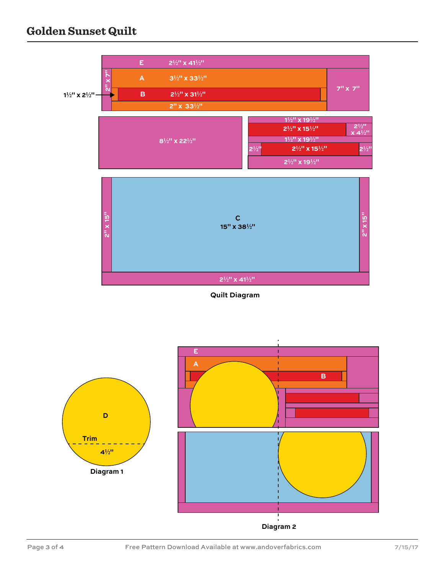## **Golden Sunset Quilt**



**Quilt Diagram**